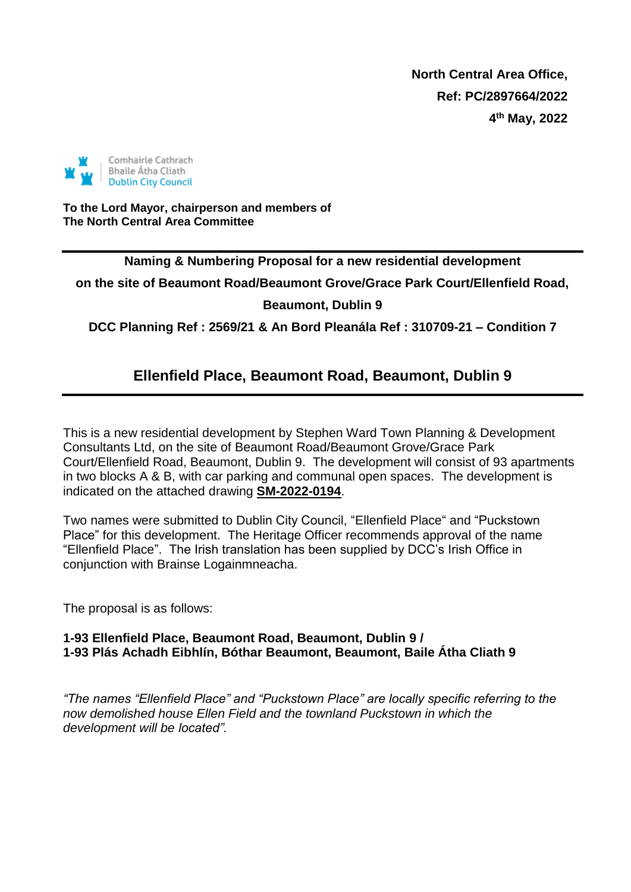**North Central Area Office, Ref: PC/2897664/2022 4 th May, 2022**



**To the Lord Mayor, chairperson and members of The North Central Area Committee**

**Naming & Numbering Proposal for a new residential development** 

**on the site of Beaumont Road/Beaumont Grove/Grace Park Court/Ellenfield Road, Beaumont, Dublin 9**

**DCC Planning Ref : 2569/21 & An Bord Pleanála Ref : 310709-21 – Condition 7**

# **Ellenfield Place, Beaumont Road, Beaumont, Dublin 9**

This is a new residential development by Stephen Ward Town Planning & Development Consultants Ltd, on the site of Beaumont Road/Beaumont Grove/Grace Park Court/Ellenfield Road, Beaumont, Dublin 9. The development will consist of 93 apartments in two blocks A & B, with car parking and communal open spaces. The development is indicated on the attached drawing **SM-2022-0194**.

Two names were submitted to Dublin City Council, "Ellenfield Place" and "Puckstown Place" for this development. The Heritage Officer recommends approval of the name "Ellenfield Place". The Irish translation has been supplied by DCC's Irish Office in conjunction with Brainse Logainmneacha.

The proposal is as follows:

#### **1-93 Ellenfield Place, Beaumont Road, Beaumont, Dublin 9 / 1-93 Plás Achadh Eibhlín, Bóthar Beaumont, Beaumont, Baile Átha Cliath 9**

*"The names "Ellenfield Place" and "Puckstown Place" are locally specific referring to the now demolished house Ellen Field and the townland Puckstown in which the development will be located".*